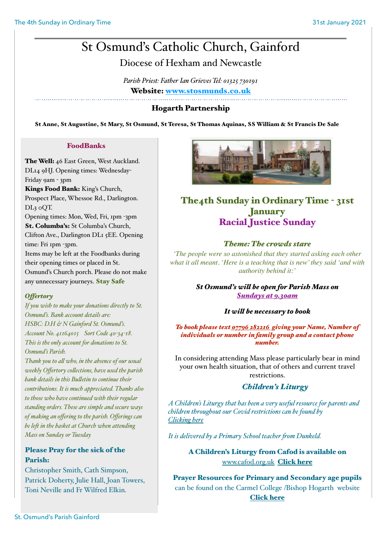# St Osmund's Catholic Church, Gainford Diocese of Hexham and Newcastle

*Parish Priest: Father Ian Grieves Tel: 01325 730191* Website: www.stosmunds.co.uk 

## Hogarth Partnership

St Anne, St Augustine, St Mary, St Osmund, St Teresa, St Thomas Aquinas, SS William & St Francis De Sale

#### FoodBanks

The Well: 46 East Green, West Auckland. DL14 9HJ. Opening times: Wednesday-Friday 9am - 3pm Kings Food Bank: King's Church, Prospect Place, Whessoe Rd., Darlington. DL3 oOT. Opening times: Mon, Wed, Fri, 1pm -3pm St. Columba's: St Columba's Church, Clifton Ave., Darlington DL1 5EE. Opening time: Fri 1pm -3pm. Items may be left at the Foodbanks during their opening times or placed in St. Osmund's Church porch. Please do not make any unnecessary journeys. Stay Safe

#### *Ofertory*

*If you wish to make your donations directly to St. Osmund's. Bank account details are: HSBC: D.H & N Gainford St. Osmund's. Account No. 41164015 Sort Code 40-34-18. This is the only account for donations to St. Osmund's Parish.* 

*Thank you to al who, in the absence of our usual weekly Offertory colections, have used the parish bank details in this Buletin to continue their contributions. It is much appreciated. Thanks also to those who have continued with their regular standing orders. These are simple and secure ways of making an offering to the parish. Offerings can be lef in the basket at Church when attending Mass on Sunday or Tuesday*

# Please Pray for the sick of the Parish:

Christopher Smith, Cath Simpson, Patrick Doherty, Julie Hall, Joan Towers, Toni Neville and Fr Wilfred Elkin.



# The4th Sunday in Ordinary Time - 31st **January** Racial Justice Sunday

### *Theme: The crowds stare*

*'The people were so astonished that they started asking each other what it all meant. 'Here is a teaching that is new' they said 'and with authority behind it:'*

> *St Osmund's wil be open for Parish Mass on Sundays at 9.30am*

#### *It wil be necessary to book*

*To book please text 07796 282216 giving your Name, Number of individuals or number in family group and a contact phone number.* 

In considering attending Mass please particularly bear in mind your own health situation, that of others and current travel restrictions.

## *Children's Liturgy*

*A Children's Liturgy that has been a very useful resource for parents and children throughout our Covid restrictions can be found by Clicking here* 

*It is delivered by a Primary School teacher fom Dunkeld.*

A Children's Liturgy from Cafod is available on www.cafod.org.uk Click here

Prayer Resources for Primary and Secondary age pupils can be found on the Carmel College /Bishop Hogarth website Click here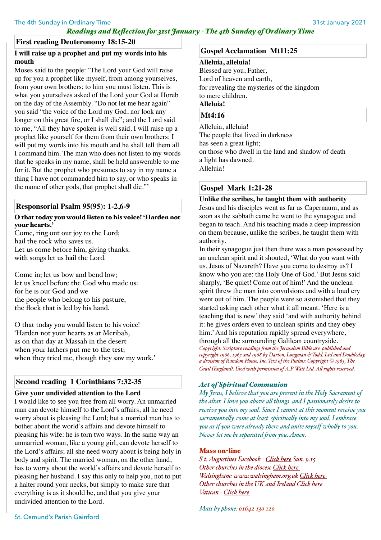# *Readings and Reflection for 31st January - The 4th Sunday of Ordinary Time*

#### **First reading Deuteronomy 18:15-20**

#### **I will raise up a prophet and put my words into his mouth**

Moses said to the people: 'The Lord your God will raise up for you a prophet like myself, from among yourselves, from your own brothers; to him you must listen. This is what you yourselves asked of the Lord your God at Horeb on the day of the Assembly. "Do not let me hear again" you said "the voice of the Lord my God, nor look any longer on this great fire, or I shall die"; and the Lord said to me, "All they have spoken is well said. I will raise up a prophet like yourself for them from their own brothers; I will put my words into his mouth and he shall tell them all I command him. The man who does not listen to my words that he speaks in my name, shall be held answerable to me for it. But the prophet who presumes to say in my name a thing I have not commanded him to say, or who speaks in the name of other gods, that prophet shall die."'

### **Responsorial Psalm 95(95): 1-2,6-9**

O that today you would listen to his voice! 'Harden not your hearts.'

Come, ring out our joy to the Lord; hail the rock who saves us. Let us come before him, giving thanks, with songs let us hail the Lord.

Come in; let us bow and bend low; let us kneel before the God who made us: for he is our God and we the people who belong to his pasture, the flock that is led by his hand.

O that today you would listen to his voice! 'Harden not your hearts as at Meribah, as on that day at Massah in the desert when your fathers put me to the test; when they tried me, though they saw my work.'

## **Second reading 1 Corinthians 7:32-35**

#### **Give your undivided attention to the Lord**

I would like to see you free from all worry. An unmarried man can devote himself to the Lord's affairs, all he need worry about is pleasing the Lord; but a married man has to bother about the world's affairs and devote himself to pleasing his wife: he is torn two ways. In the same way an unmarried woman, like a young girl, can devote herself to the Lord's affairs; all she need worry about is being holy in body and spirit. The married woman, on the other hand, has to worry about the world's affairs and devote herself to pleasing her husband. I say this only to help you, not to put a halter round your necks, but simply to make sure that everything is as it should be, and that you give your undivided attention to the Lord.

#### **Gospel Acclamation Mt11:25**

#### **Alleluia, alleluia!**

Blessed are you, Father, Lord of heaven and earth, for revealing the mysteries of the kingdom to mere children. **Alleluia!**

## **Mt4:16**

Alleluia, alleluia! The people that lived in darkness has seen a great light; on those who dwell in the land and shadow of death a light has dawned. Alleluia!

### **Gospel Mark 1:21-28**

**Unlike the scribes, he taught them with authority** Jesus and his disciples went as far as Capernaum, and as soon as the sabbath came he went to the synagogue and began to teach. And his teaching made a deep impression on them because, unlike the scribes, he taught them with authority.

In their synagogue just then there was a man possessed by an unclean spirit and it shouted, 'What do you want with us, Jesus of Nazareth? Have you come to destroy us? I know who you are: the Holy One of God.' But Jesus said sharply, 'Be quiet! Come out of him!' And the unclean spirit threw the man into convulsions and with a loud cry went out of him. The people were so astonished that they started asking each other what it all meant. 'Here is a teaching that is new' they said 'and with authority behind it: he gives orders even to unclean spirits and they obey him.' And his reputation rapidly spread everywhere, through all the surrounding Galilean countryside. *Copyright: Scripture readings fom the Jerusalem Bible are published and copyright 1966, 1967 and 1968 by Darton, Longman & Todd, Ltd and Doubleday, a division of Random House, Inc. Text of the Psalms: Copyright © 1963, The Grail (England). Used with permission of A.P. Watt Ltd. Al rights reserved.* 

#### *Act of Spiritual Communion*

*My Jesus, I believe that you are present in the Holy Sacrament of the altar. I love you above al things and I passionately desire to receive you into my soul. Since I cannot at this moment receive you sacramentaly, come at least spiritualy into my soul. I embrace you as if you were already there and unite myself wholy to you. Never let me be separated fom you. Amen.* 

#### Mass 0n-line

*S t. Augustines Facebook - Click here Sun. 9.15 Other churches in the diocese Click here Walsingham: www.walsingham.org.uk Click here Other churches in the UK and Ireland Click here Vatican - Click here* 

*Mass by phone: 01642 130 120*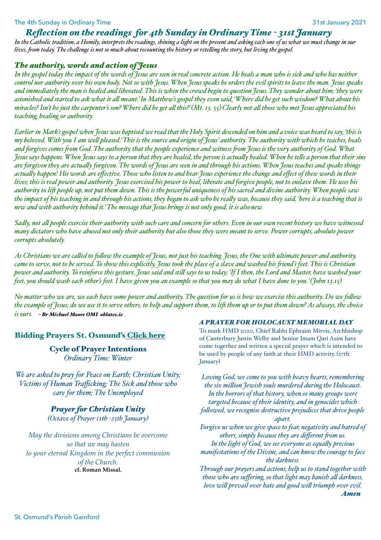#### *Reflection on the readings for 4th Sunday in Ordinary Time - 31st January*

*In the Catholic tradition, a Homily, interprets the readings, shining a light on the present and asking each one of us what we must change in our lives, fom today. The chalenge is not so much about recounting the history or reteling the story, but living the gospel.* 

#### *The authority, words and action of Jesus*

*In the gospel today the impact of the words of Jesus are seen in real concrete action. He heals a man who is sick and who has neither control nor authority over his own body. Not so with Jesus. When Jesus speaks he orders the evil spirits to leave the man. Jesus speaks and immediately the man is healed and liberated. This is when the crowd begin to question Jesus. They wonder about him; 'they were astonished and started to ask what it al meant.'In Matthew's gospel they even said,'Where did he get such wisdom? What about his miracles? Isn't he just the carpenter's son? Where did he get al this?' (Mt. 13. 55) Clearly not al those who met Jesus appreciated his teaching, healing or authority.*

*Earlier in Mark's gospel when Jesus was baptised we read that the Holy Spirit descended on him and avoice was heard to say, 'this is my beloved. With you I am wel pleased.'This is the source and origin of Jesus' authority. The authority with which he teaches, heals and forgives comes fom God. The authority that the people experience and witness fom Jesus is the very authority of God. What Jesus says happens. When Jesus says to a person that they are healed, the person is actualy healed. When he tels a person that their sins are forgiven they are actualy forgiven. The words of Jesus are seen in and through his actions. When Jesus teaches and speaks things actualy happen! His words are effective. Those who listen to and hear Jesus experience the change and effect of these words in their lives; this is real power and authority. Jesus exercised his power to heal, liberate and forgive people, not to enslave them. He uses his authority to lif people up, not put them down. This is the powerful uniqueness of his sacred and divine authority. When people saw the impact of his teaching in and through his actions, they began to ask who he realy was, because they said, 'here is a teaching that is new and with authority behind it.'The message that Jesus brings is not only good, it is alsonew.*

*Sadly, not al people exercise their authority with such care and concern for others. Even in our own recent history we have witnessed many dictators who have abused not only their authority but also those they were meant to serve. Power corrupts, absolute power corrupts absolutely.*

*As Christians we are caled to folow the example of Jesus, not just his teaching. Jesus, the One with ultimate power and authority, came to serve, not to be served. To show this explicitly, Jesus took the place of a slave and washed his fiend's feet. This is Christian power and authority. To reinforce this gesture, Jesus said and stil says to us today; 'If I then, the Lord and Master, have washed your feet, you should wash each other's feet. I have given you an example so that you may do what I have done to you.' (John 13.15)*

*No matter who we are, we each have some power and authority. The question for us is how we exercise this authority. Do we folow the example of Jesus; do we use it to serve others, to help and support them, to lif them up or to put them down? As always, the choice is ours. – Br Michael Moore OMI oblates.ie*

#### Bidding Prayers St. Osmund's Click here

Cycle of Prayer Intentions

*Ordinary Time: Winter* 

*We are asked to pray for Peace on Earth; Christian Unity; Victims of Human Trafficking; The Sick and those who care for them; The Unemployed*

> *Prayer for Christian Unity (Octave of Prayer 11th -25th January)*

*May the divisions among Christians be overcome so that we may hasten to your eternal Kingdom in the perfect communion of the Church.* **cf. Roman Missal.**

#### *A PRAYER FOR HOLOCAUST MEMORIAL DAY*

To mark HMD 2020, Chief Rabbi Ephraim Mirvis, Archbishop of Canterbury Justin Welby and Senior Imam Qari Asim have come together and written a special prayer which is intended to be used by people of any faith at their HMD activity. (27th January)

*Loving God, we come to you with heavy hearts, remembering the six milion Jewish souls murdered during the Holocaust. In the horrors of that history, when so many groups were targeted because of their identity, and in genocides which folowed, we recognise destructive prejudices that drive people apart.*

*Forgive us when we give space to fear, negativity and hatred of others, simply because they are different fom us. In the light of God, we see everyone as equaly precious manifestations of the Divine, and can know the courage to face the darkness.*

*Through our prayers and actions, help us to stand together with those who are suffering, so that light may banish al darkness, love wil prevail over hate and good wil triumph over evil. Amen*